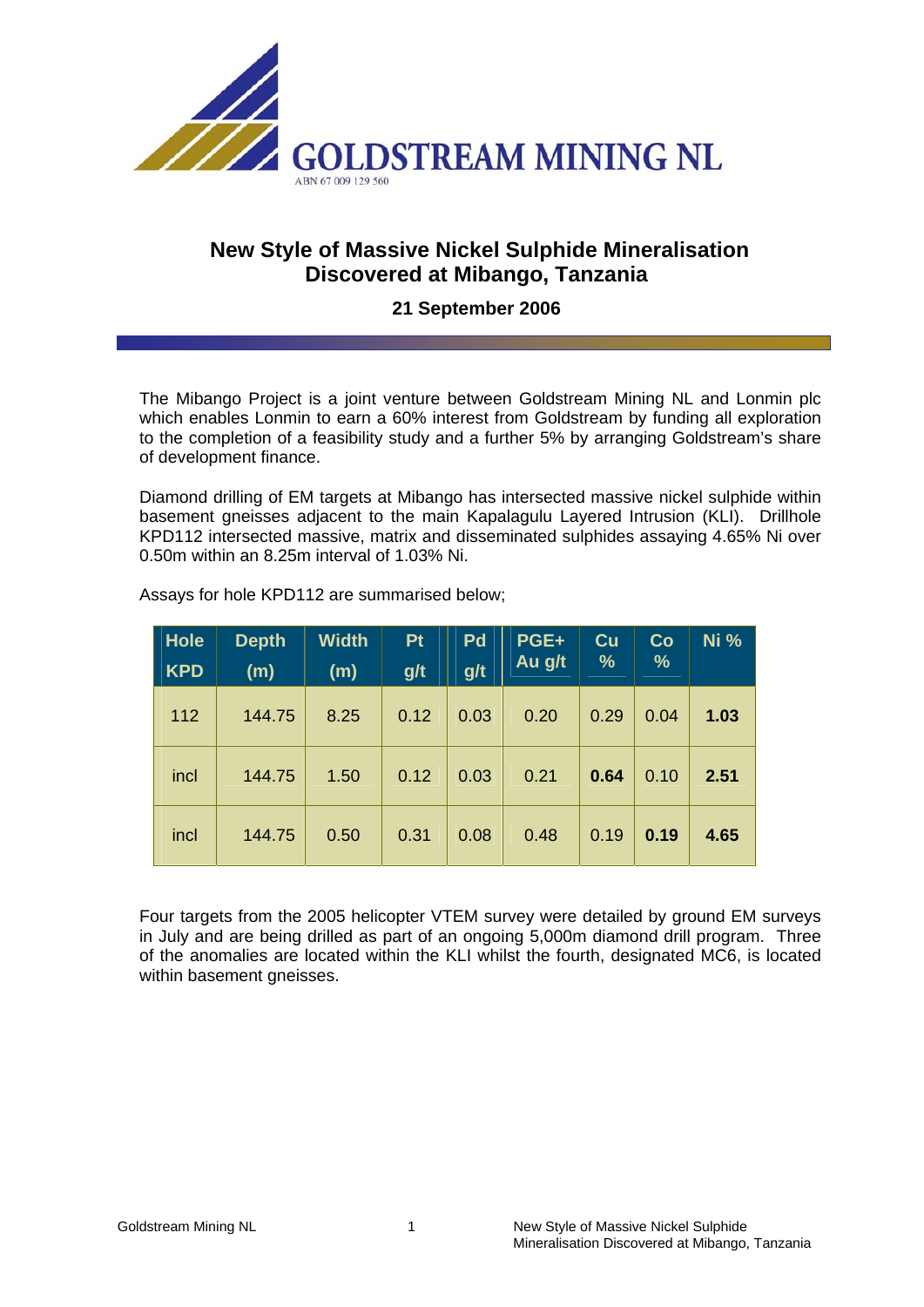

## **New Style of Massive Nickel Sulphide Mineralisation Discovered at Mibango, Tanzania**

## **21 September 2006**

The Mibango Project is a joint venture between Goldstream Mining NL and Lonmin plc which enables Lonmin to earn a 60% interest from Goldstream by funding all exploration to the completion of a feasibility study and a further 5% by arranging Goldstream's share of development finance.

Diamond drilling of EM targets at Mibango has intersected massive nickel sulphide within basement gneisses adjacent to the main Kapalagulu Layered Intrusion (KLI). Drillhole KPD112 intersected massive, matrix and disseminated sulphides assaying 4.65% Ni over 0.50m within an 8.25m interval of 1.03% Ni.

| <b>Hole</b> | <b>Depth</b> | <b>Width</b> | <b>Pt</b> | Pd   | PGE+   | $cu$          | Co   | <b>Ni %</b> |
|-------------|--------------|--------------|-----------|------|--------|---------------|------|-------------|
| <b>KPD</b>  | (m)          | (m)          | g/t       | g/t  | Au g/t | $\frac{9}{6}$ | %    |             |
| 112         | 144.75       | 8.25         | 0.12      | 0.03 | 0.20   | 0.29          | 0.04 | 1.03        |
| incl        | 144.75       | 1.50         | 0.12      | 0.03 | 0.21   | 0.64          | 0.10 | 2.51        |
| incl        | 144.75       | 0.50         | 0.31      | 0.08 | 0.48   | 0.19          | 0.19 | 4.65        |

Assays for hole KPD112 are summarised below;

Four targets from the 2005 helicopter VTEM survey were detailed by ground EM surveys in July and are being drilled as part of an ongoing 5,000m diamond drill program. Three of the anomalies are located within the KLI whilst the fourth, designated MC6, is located within basement gneisses.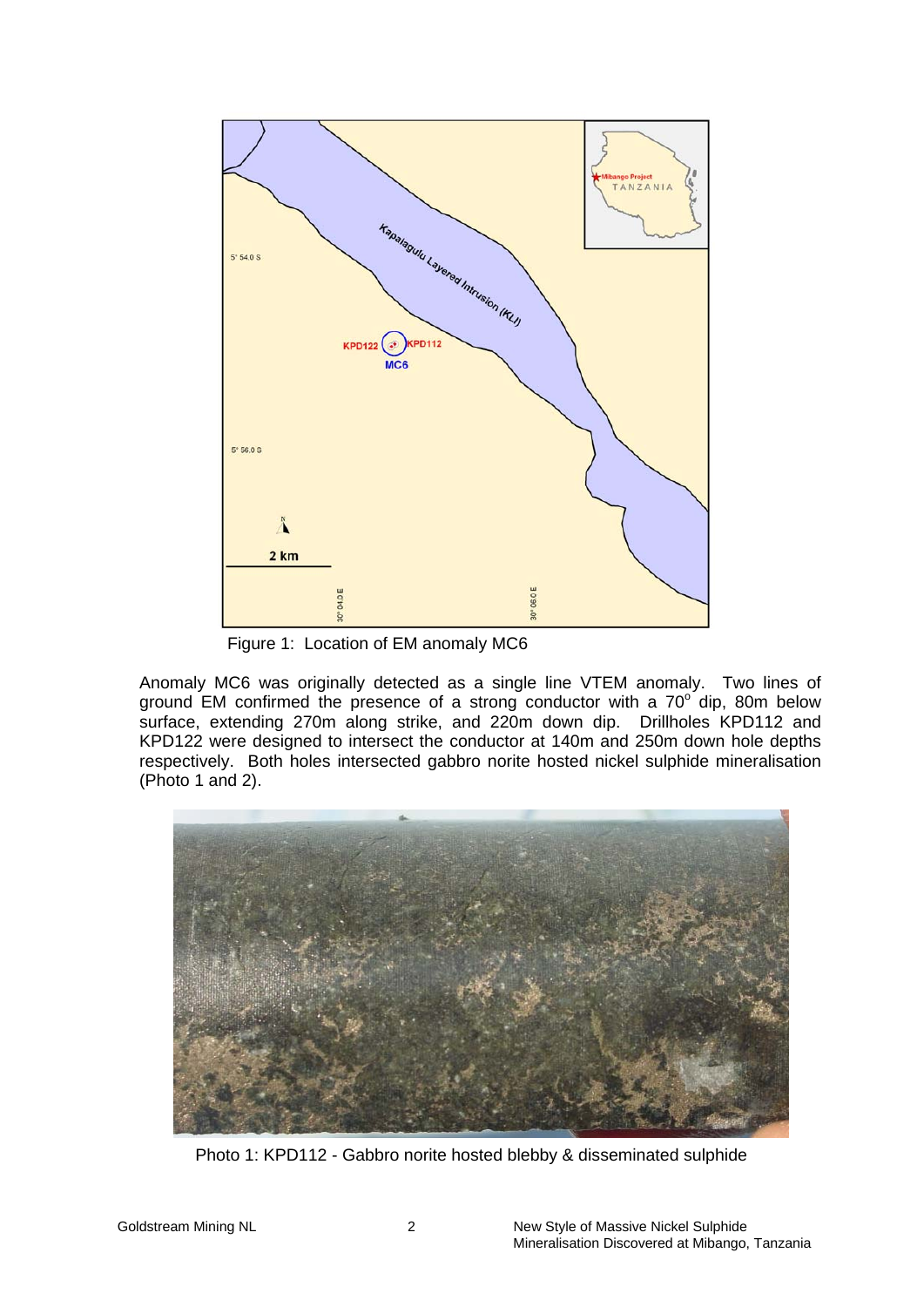

Figure 1: Location of EM anomaly MC6

Anomaly MC6 was originally detected as a single line VTEM anomaly. Two lines of ground EM confirmed the presence of a strong conductor with a  $70^{\circ}$  dip, 80m below surface, extending 270m along strike, and 220m down dip. Drillholes KPD112 and KPD122 were designed to intersect the conductor at 140m and 250m down hole depths respectively. Both holes intersected gabbro norite hosted nickel sulphide mineralisation (Photo 1 and 2).



Photo 1: KPD112 - Gabbro norite hosted blebby & disseminated sulphide